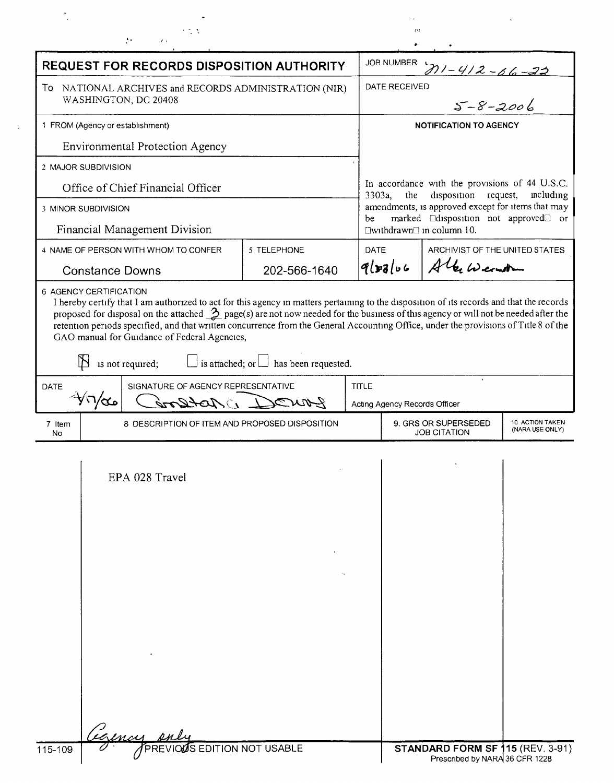|                                                                                          | 化变成                                                                                                                                                                                                      |                                                     |              | $f\mathcal{H}f$                                                                                     |                                                                                                 |                                    |  |
|------------------------------------------------------------------------------------------|----------------------------------------------------------------------------------------------------------------------------------------------------------------------------------------------------------|-----------------------------------------------------|--------------|-----------------------------------------------------------------------------------------------------|-------------------------------------------------------------------------------------------------|------------------------------------|--|
| Ã.<br>$\mathbf{s}^{\star}$ .                                                             |                                                                                                                                                                                                          |                                                     |              |                                                                                                     |                                                                                                 |                                    |  |
| <b>REQUEST FOR RECORDS DISPOSITION AUTHORITY</b>                                         |                                                                                                                                                                                                          |                                                     |              | <b>JOB NUMBER</b><br>711-412-66-22                                                                  |                                                                                                 |                                    |  |
| To NATIONAL ARCHIVES and RECORDS ADMINISTRATION (NIR)<br>WASHINGTON, DC 20408            |                                                                                                                                                                                                          |                                                     |              | DATE RECEIVED<br>$5 - 8 - 2006$                                                                     |                                                                                                 |                                    |  |
|                                                                                          |                                                                                                                                                                                                          |                                                     |              |                                                                                                     |                                                                                                 |                                    |  |
| 1 FROM (Agency or establishment)                                                         |                                                                                                                                                                                                          |                                                     |              | <b>NOTIFICATION TO AGENCY</b>                                                                       |                                                                                                 |                                    |  |
|                                                                                          | Environmental Protection Agency                                                                                                                                                                          |                                                     |              |                                                                                                     |                                                                                                 |                                    |  |
| 2 MAJOR SUBDIVISION                                                                      |                                                                                                                                                                                                          |                                                     |              |                                                                                                     |                                                                                                 |                                    |  |
| Office of Chief Financial Officer                                                        |                                                                                                                                                                                                          |                                                     |              | In accordance with the provisions of 44 U.S.C.<br>disposition request,<br>3303a,<br>the<br>meluding |                                                                                                 |                                    |  |
| 3 MINOR SUBDIVISION                                                                      |                                                                                                                                                                                                          |                                                     | be           |                                                                                                     | amendments, is approved except for items that may<br>marked <b>Edisposition</b> not approved or |                                    |  |
|                                                                                          | Financial Management Division                                                                                                                                                                            |                                                     |              |                                                                                                     | $\Box$ withdrawn $\Box$ in column 10.                                                           |                                    |  |
|                                                                                          | 4 NAME OF PERSON WITH WHOM TO CONFER<br>5 TELEPHONE                                                                                                                                                      |                                                     |              | DATE<br>ARCHIVIST OF THE UNITED STATES                                                              |                                                                                                 |                                    |  |
| <b>Constance Downs</b>                                                                   |                                                                                                                                                                                                          | 202-566-1640                                        |              | $q_{s}$                                                                                             | Alex Wernt                                                                                      |                                    |  |
|                                                                                          | retention periods specified, and that written concurrence from the General Accounting Office, under the provisions of Title 8 of the<br>GAO manual for Guidance of Federal Agencies,<br>is not required; | $\perp$ is attached; or $\perp$ has been requested. | <b>TITLE</b> |                                                                                                     |                                                                                                 |                                    |  |
| SIGNATURE OF AGENCY REPRESENTATIVE<br><b>DATE</b><br>$-\sqrt{1/\alpha}$ ه<br>1) Astlor's |                                                                                                                                                                                                          |                                                     |              | Acting Agency Records Officer                                                                       |                                                                                                 |                                    |  |
|                                                                                          |                                                                                                                                                                                                          |                                                     |              |                                                                                                     |                                                                                                 |                                    |  |
| 7 Item<br>No.                                                                            | 8 DESCRIPTION OF ITEM AND PROPOSED DISPOSITION                                                                                                                                                           |                                                     |              |                                                                                                     | 9. GRS OR SUPERSEDED<br><b>JOB CITATION</b>                                                     | 10 ACTION TAKEN<br>(NARA USE ONLY) |  |
|                                                                                          | EPA 028 Travel                                                                                                                                                                                           |                                                     |              |                                                                                                     |                                                                                                 |                                    |  |
| 115-109                                                                                  | <b>PREVIOUS EDITION NOT USABLE</b>                                                                                                                                                                       |                                                     |              |                                                                                                     | <b>STANDARD FORM SF 115 (REV. 3-91)</b>                                                         |                                    |  |

 $\label{eq:2.1} \frac{1}{\sqrt{2}}\int_{0}^{\infty}\frac{1}{\sqrt{2\pi}}\left(\frac{1}{\sqrt{2\pi}}\right)^{2}d\mu\,d\mu\,.$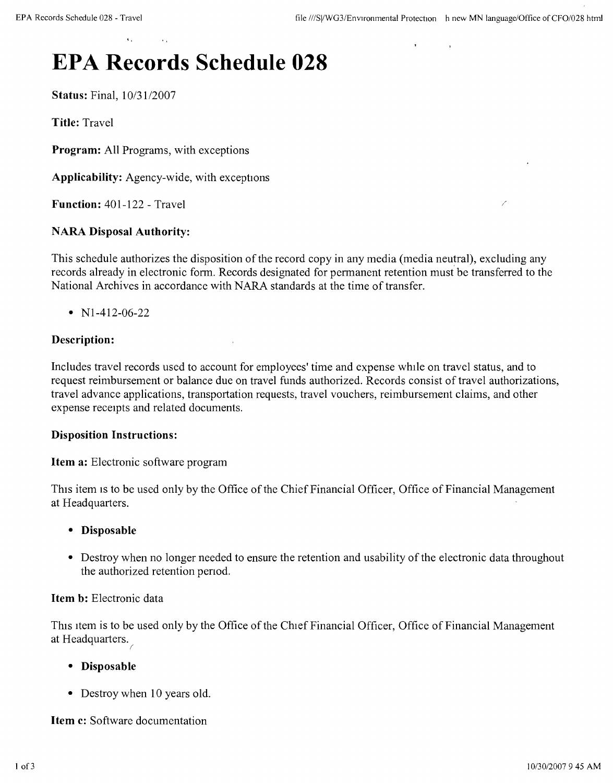# **EPA Records Schedule 028**

**Status:** Final, *10/3112007*

**Title:** Travel

**Program:** All Programs, with exceptions

**Applicability:** Agency-wide, with exceptions

**Function:** 401-122 - Travel

# **NARA Disposal Authority:**

This schedule authorizes the disposition of the record copy in any media (media neutral), excluding any records already in electronic form. Records designated for permanent retention must be transferred to the National Archives in accordance with NARA standards at the time of transfer.

•  $N1-412-06-22$ 

# **Description:**

Includes travel records used to account for employees' time and expense while on travel status, and to request reimbursement or balance due on travel funds authorized. Records consist of travel authorizations, travel advance applications, transportation requests, travel vouchers, reimbursement claims, and other expense receipts and related documents.

### **Disposition Instructions:**

**Item a:** Electronic software program

This item is to be used only by the Office of the Chief Financial Officer, Office of Financial Management at Headquarters.

### **• Disposable**

• Destroy when no longer needed to ensure the retention and usability of the electronic data throughout the authorized retention penod.

### **Item b:** Electronic data

This item is to be used only by the Office of the Chief Financial Officer, Office of Financial Management at Headquarters.

### **• Disposable**

• Destroy when 10 years old.

**Item c:** Software documentation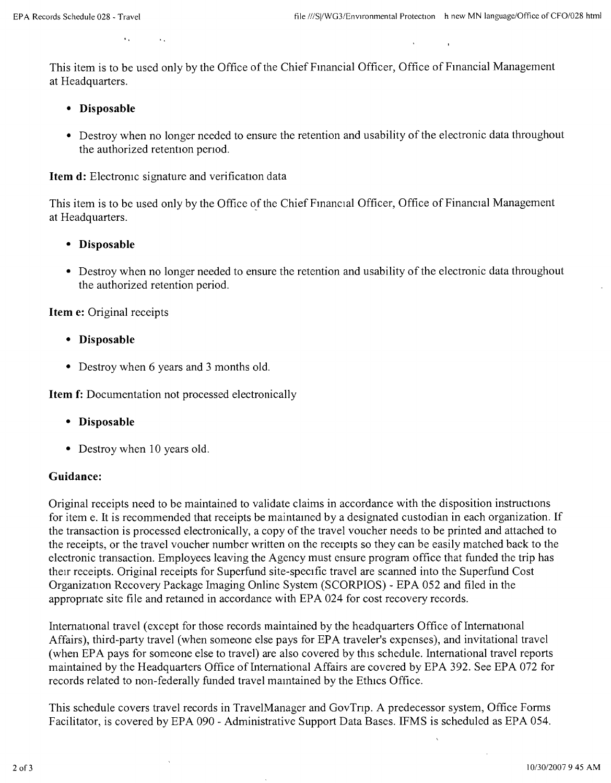This item is to be used only by the Office of the Chief Financial Officer, Office of Financial Management at Headquarters,

- **• Disposable**
- Destroy when no longer needed to ensure the retention and usability of the electronic data throughout the authorized retention penod.

**Item d:** Electromc signature and verification data

This item is to be used only by the Office *of* the Chief Financial Officer, Office of Financial Management at Headquarters.

- **• Disposable**
- Destroy when no longer needed to ensure the retention and usability of the electronic data throughout the authorized retention period.

**Item e:** Original receipts

- **• Disposable**
- Destroy when 6 years and 3 months old.

**Item f:** Documentation not processed electronically

- **• Disposable**
- Destroy when 10 years old.

### **Guidance:**

Original receipts need to be maintained to validate claims in accordance with the disposition instructions for item e. It is recommended that receipts be maintamed by a designated custodian in each organization. If the transaction is processed electronically, a copy of the travel voucher needs to be printed and attached to the receipts, or the travel voucher number written on the receipts so they can be easily matched back to the electronic transaction. Employees leaving the Agency must ensure program office that funded the trip has their receipts. Original receipts for Superfund site-specific travel are scanned into the Superfund Cost Organization Recovery Package Imaging Online System (SCORPIOS) - EPA 052 and filed in the appropnate site file and retamed in accordance with EPA 024 for cost recovery records.

International travel (except for those records maintained by the headquarters Office of International Affairs), third-party travel (when someone else pays for EPA traveler's expenses), and invitational travel (when EPA pays for someone else to travel) are also covered by this schedule. International travel reports maintained by the Headquarters Office of International Affairs are covered by EPA 392. See EPA 072 for records related to non-federally funded travel maintained by the Ethics Office.

This schedule covers travel records in TravelManager and GovTnp. A predecessor system, Office Forms Facilitator, is covered by EPA 090 - Administrative Support Data Bases. IFMS is scheduled as EPA 054.